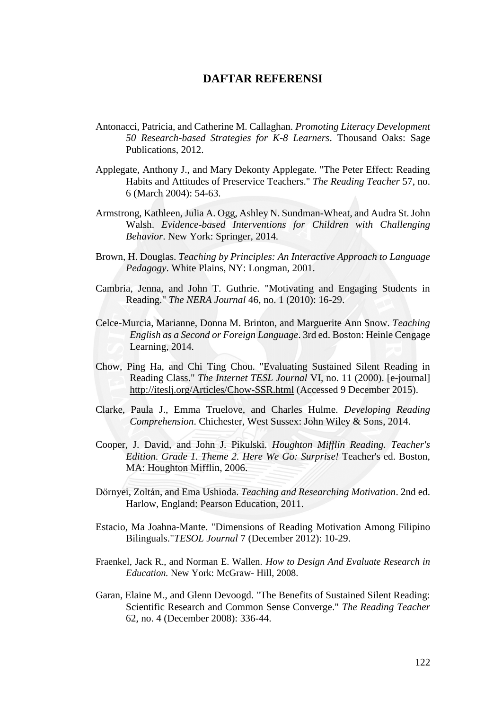## **DAFTAR REFERENSI**

- Antonacci, Patricia, and Catherine M. Callaghan. *Promoting Literacy Development 50 Research-based Strategies for K-8 Learners*. Thousand Oaks: Sage Publications, 2012.
- Applegate, Anthony J., and Mary Dekonty Applegate. "The Peter Effect: Reading Habits and Attitudes of Preservice Teachers." *The Reading Teacher* 57, no. 6 (March 2004): 54-63.
- Armstrong, Kathleen, Julia A. Ogg, Ashley N. Sundman-Wheat, and Audra St. John Walsh. *Evidence-based Interventions for Children with Challenging Behavior*. New York: Springer, 2014.
- Brown, H. Douglas. *Teaching by Principles: An Interactive Approach to Language Pedagogy*. White Plains, NY: Longman, 2001.
- Cambria, Jenna, and John T. Guthrie. "Motivating and Engaging Students in Reading." *The NERA Journal* 46, no. 1 (2010): 16-29.
- Celce-Murcia, Marianne, Donna M. Brinton, and Marguerite Ann Snow. *Teaching English as a Second or Foreign Language*. 3rd ed. Boston: Heinle Cengage Learning, 2014.
- Chow, Ping Ha, and Chi Ting Chou. "Evaluating Sustained Silent Reading in Reading Class." *The Internet TESL Journal* VI, no. 11 (2000). [e-journal] http://iteslj.org/Articles/Chow-SSR.html (Accessed 9 December 2015).
- Clarke, Paula J., Emma Truelove, and Charles Hulme. *Developing Reading Comprehension*. Chichester, West Sussex: John Wiley & Sons, 2014.
- Cooper, J. David, and John J. Pikulski. *Houghton Mifflin Reading. Teacher's Edition. Grade 1. Theme 2. Here We Go: Surprise!* Teacher's ed. Boston, MA: Houghton Mifflin, 2006.
- Dörnyei, Zoltán, and Ema Ushioda. *Teaching and Researching Motivation*. 2nd ed. Harlow, England: Pearson Education, 2011.
- Estacio, Ma Joahna-Mante. "Dimensions of Reading Motivation Among Filipino Bilinguals."*TESOL Journal* 7 (December 2012): 10-29.
- Fraenkel, Jack R., and Norman E. Wallen. *How to Design And Evaluate Research in Education.* New York: McGraw- Hill, 2008.
- Garan, Elaine M., and Glenn Devoogd. "The Benefits of Sustained Silent Reading: Scientific Research and Common Sense Converge." *The Reading Teacher* 62, no. 4 (December 2008): 336-44.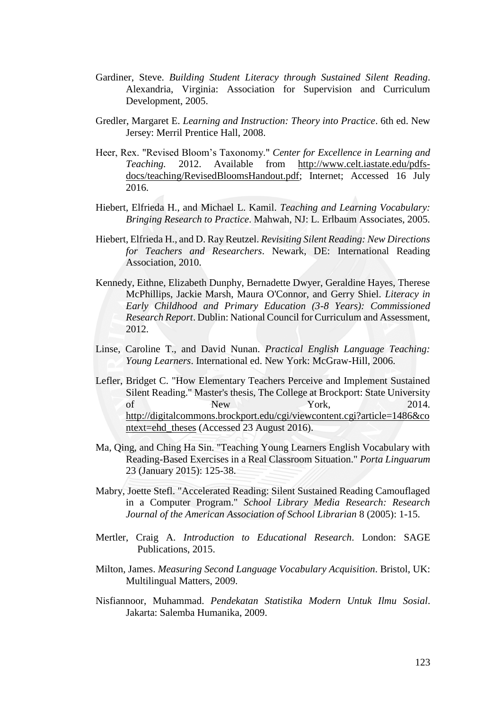- Gardiner, Steve. *Building Student Literacy through Sustained Silent Reading*. Alexandria, Virginia: Association for Supervision and Curriculum Development, 2005.
- Gredler, Margaret E. *Learning and Instruction: Theory into Practice*. 6th ed. New Jersey: Merril Prentice Hall, 2008.
- Heer, Rex. "Revised Bloom's Taxonomy." *Center for Excellence in Learning and Teaching.* 2012. Available from http://www.celt.iastate.edu/pdfsdocs/teaching/RevisedBloomsHandout.pdf; Internet; Accessed 16 July 2016.
- Hiebert, Elfrieda H., and Michael L. Kamil. *Teaching and Learning Vocabulary: Bringing Research to Practice*. Mahwah, NJ: L. Erlbaum Associates, 2005.
- Hiebert, Elfrieda H., and D. Ray Reutzel. *Revisiting Silent Reading: New Directions for Teachers and Researchers*. Newark, DE: International Reading Association, 2010.
- Kennedy, Eithne, Elizabeth Dunphy, Bernadette Dwyer, Geraldine Hayes, Therese McPhillips, Jackie Marsh, Maura O'Connor, and Gerry Shiel. *Literacy in Early Childhood and Primary Education (3-8 Years): Commissioned Research Report*. Dublin: National Council for Curriculum and Assessment, 2012.
- Linse, Caroline T., and David Nunan. *Practical English Language Teaching: Young Learners*. International ed. New York: McGraw-Hill, 2006.
- Lefler, Bridget C. "How Elementary Teachers Perceive and Implement Sustained Silent Reading." Master's thesis, The College at Brockport: State University of New York, 2014. http://digitalcommons.brockport.edu/cgi/viewcontent.cgi?article=1486&co ntext=ehd\_theses (Accessed 23 August 2016).
- Ma, Qing, and Ching Ha Sin. "Teaching Young Learners English Vocabulary with Reading-Based Exercises in a Real Classroom Situation." *Porta Linguarum* 23 (January 2015): 125-38.
- Mabry, Joette Stefl. "Accelerated Reading: Silent Sustained Reading Camouflaged in a Computer Program." *School Library Media Research: Research Journal of the American Association of School Librarian* 8 (2005): 1-15.
- Mertler, Craig A. *Introduction to Educational Research*. London: SAGE Publications, 2015.
- Milton, James. *Measuring Second Language Vocabulary Acquisition*. Bristol, UK: Multilingual Matters, 2009.
- Nisfiannoor, Muhammad. *Pendekatan Statistika Modern Untuk Ilmu Sosial*. Jakarta: Salemba Humanika, 2009.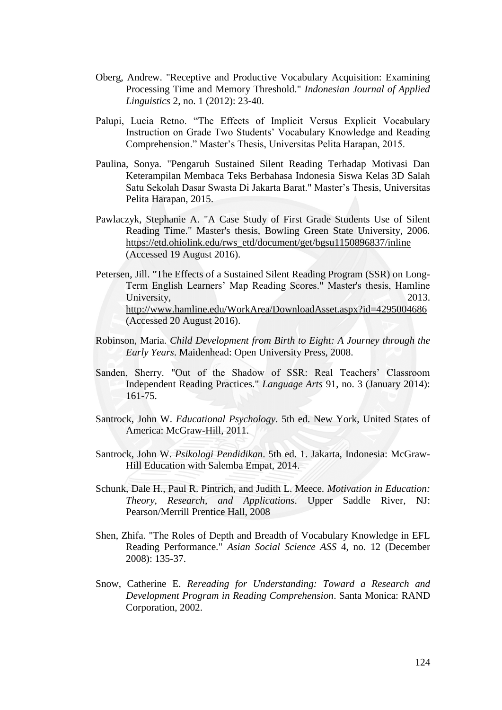- Oberg, Andrew. "Receptive and Productive Vocabulary Acquisition: Examining Processing Time and Memory Threshold." *Indonesian Journal of Applied Linguistics* 2, no. 1 (2012): 23-40.
- Palupi, Lucia Retno. "The Effects of Implicit Versus Explicit Vocabulary Instruction on Grade Two Students' Vocabulary Knowledge and Reading Comprehension." Master's Thesis, Universitas Pelita Harapan, 2015.
- Paulina, Sonya. "Pengaruh Sustained Silent Reading Terhadap Motivasi Dan Keterampilan Membaca Teks Berbahasa Indonesia Siswa Kelas 3D Salah Satu Sekolah Dasar Swasta Di Jakarta Barat." Master's Thesis, Universitas Pelita Harapan, 2015.
- Pawlaczyk, Stephanie A. "A Case Study of First Grade Students Use of Silent Reading Time." Master's thesis, Bowling Green State University, 2006. https://etd.ohiolink.edu/rws\_etd/document/get/bgsu1150896837/inline (Accessed 19 August 2016).
- Petersen, Jill. "The Effects of a Sustained Silent Reading Program (SSR) on Long-Term English Learners' Map Reading Scores." Master's thesis, Hamline University, 2013. http://www.hamline.edu/WorkArea/DownloadAsset.aspx?id=4295004686 (Accessed 20 August 2016).
- Robinson, Maria. *Child Development from Birth to Eight: A Journey through the Early Years*. Maidenhead: Open University Press, 2008.
- Sanden, Sherry. "Out of the Shadow of SSR: Real Teachers' Classroom Independent Reading Practices." *Language Arts* 91, no. 3 (January 2014): 161-75.
- Santrock, John W. *Educational Psychology*. 5th ed. New York, United States of America: McGraw-Hill, 2011.
- Santrock, John W. *Psikologi Pendidikan*. 5th ed. 1. Jakarta, Indonesia: McGraw-Hill Education with Salemba Empat, 2014.
- Schunk, Dale H., Paul R. Pintrich, and Judith L. Meece. *Motivation in Education: Theory, Research, and Applications*. Upper Saddle River, NJ: Pearson/Merrill Prentice Hall, 2008
- Shen, Zhifa. "The Roles of Depth and Breadth of Vocabulary Knowledge in EFL Reading Performance." *Asian Social Science ASS* 4, no. 12 (December 2008): 135-37.
- Snow, Catherine E. *Rereading for Understanding: Toward a Research and Development Program in Reading Comprehension*. Santa Monica: RAND Corporation, 2002.